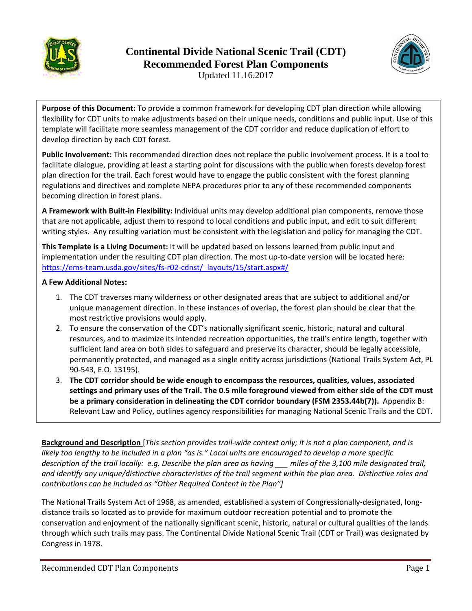



Updated 11.16.2017

**Purpose of this Document:** To provide a common framework for developing CDT plan direction while allowing flexibility for CDT units to make adjustments based on their unique needs, conditions and public input. Use of this template will facilitate more seamless management of the CDT corridor and reduce duplication of effort to develop direction by each CDT forest.

**Public Involvement:** This recommended direction does not replace the public involvement process. It is a tool to facilitate dialogue, providing at least a starting point for discussions with the public when forests develop forest plan direction for the trail. Each forest would have to engage the public consistent with the forest planning regulations and directives and complete NEPA procedures prior to any of these recommended components becoming direction in forest plans.

**A Framework with Built‐in Flexibility:** Individual units may develop additional plan components, remove those that are not applicable, adjust them to respond to local conditions and public input, and edit to suit different writing styles. Any resulting variation must be consistent with the legislation and policy for managing the CDT.

**This Template is a Living Document:** It will be updated based on lessons learned from public input and implementation under the resulting CDT plan direction. The most up-to-date version will be located here: https://ems-team.usda.gov/sites/fs-r02-cdnst/\_layouts/15/start.aspx#/

### **A Few Additional Notes:**

- 1. The CDT traverses many wilderness or other designated areas that are subject to additional and/or unique management direction. In these instances of overlap, the forest plan should be clear that the most restrictive provisions would apply.
- 2. To ensure the conservation of the CDT's nationally significant scenic, historic, natural and cultural resources, and to maximize its intended recreation opportunities, the trail's entire length, together with sufficient land area on both sides to safeguard and preserve its character, should be legally accessible, permanently protected, and managed as a single entity across jurisdictions (National Trails System Act, PL 90‐543, E.O. 13195).
- 3. **The CDT corridor should be wide enough to encompass the resources, qualities, values, associated** settings and primary uses of the Trail. The 0.5 mile foreground viewed from either side of the CDT must **be a primary consideration in delineating the CDT corridor boundary (FSM 2353.44b(7)).** Appendix B: Relevant Law and Policy, outlines agency responsibilities for managing National Scenic Trails and the CDT.

Background and Description [This section provides trail-wide context only; it is not a plan component, and is likely too lengthy to be included in a plan "as is." Local units are encouraged to develop a more specific description of the trail locally: e.g. Describe the plan area as having miles of the 3,100 mile designated trail, and identify any unique/distinctive characteristics of the trail segment within the plan area. Distinctive roles and *contributions can be included as "Other Required Content in the Plan"]*

The National Trails System Act of 1968, as amended, established a system of Congressionally‐designated, long‐ distance trails so located as to provide for maximum outdoor recreation potential and to promote the conservation and enjoyment of the nationally significant scenic, historic, natural or cultural qualities of the lands through which such trails may pass. The Continental Divide National Scenic Trail (CDT or Trail) was designated by Congress in 1978.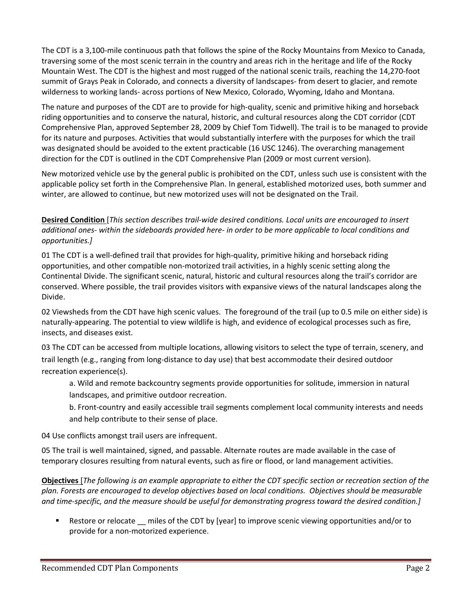The CDT is a 3,100‐mile continuous path that follows the spine of the Rocky Mountains from Mexico to Canada, traversing some of the most scenic terrain in the country and areas rich in the heritage and life of the Rocky Mountain West. The CDT is the highest and most rugged of the national scenic trails, reaching the 14,270‐foot summit of Grays Peak in Colorado, and connects a diversity of landscapes‐ from desert to glacier, and remote wilderness to working lands‐ across portions of New Mexico, Colorado, Wyoming, Idaho and Montana.

The nature and purposes of the CDT are to provide for high‐quality, scenic and primitive hiking and horseback riding opportunities and to conserve the natural, historic, and cultural resources along the CDT corridor (CDT Comprehensive Plan, approved September 28, 2009 by Chief Tom Tidwell). The trail is to be managed to provide for its nature and purposes. Activities that would substantially interfere with the purposes for which the trail was designated should be avoided to the extent practicable (16 USC 1246). The overarching management direction for the CDT is outlined in the CDT Comprehensive Plan (2009 or most current version).

New motorized vehicle use by the general public is prohibited on the CDT, unless such use is consistent with the applicable policy set forth in the Comprehensive Plan. In general, established motorized uses, both summer and winter, are allowed to continue, but new motorized uses will not be designated on the Trail.

**Desired Condition** [*This section describes trail‐wide desired conditions. Local units are encouraged to insert* additional ones- within the sideboards provided here- in order to be more applicable to local conditions and *opportunities.]*

01 The CDT is a well-defined trail that provides for high-quality, primitive hiking and horseback riding opportunities, and other compatible non‐motorized trail activities, in a highly scenic setting along the Continental Divide. The significant scenic, natural, historic and cultural resources along the trail's corridor are conserved. Where possible, the trail provides visitors with expansive views of the natural landscapes along the Divide.

02 Viewsheds from the CDT have high scenic values. The foreground of the trail (up to 0.5 mile on either side) is naturally‐appearing. The potential to view wildlife is high, and evidence of ecological processes such as fire, insects, and diseases exist.

03 The CDT can be accessed from multiple locations, allowing visitors to select the type of terrain, scenery, and trail length (e.g., ranging from long‐distance to day use) that best accommodate their desired outdoor recreation experience(s).

a. Wild and remote backcountry segments provide opportunities for solitude, immersion in natural landscapes, and primitive outdoor recreation.

b. Front‐country and easily accessible trail segments complement local community interests and needs and help contribute to their sense of place.

04 Use conflicts amongst trail users are infrequent.

05 The trail is well maintained, signed, and passable. Alternate routes are made available in the case of temporary closures resulting from natural events, such as fire or flood, or land management activities.

**Objectives** [The following is an example appropriate to either the CDT specific section or recreation section of the *plan. Forests are encouraged to develop objectives based on local conditions. Objectives should be measurable* and time-specific, and the measure should be useful for demonstrating progress toward the desired condition.]

Restore or relocate \_\_ miles of the CDT by [year] to improve scenic viewing opportunities and/or to provide for a non‐motorized experience.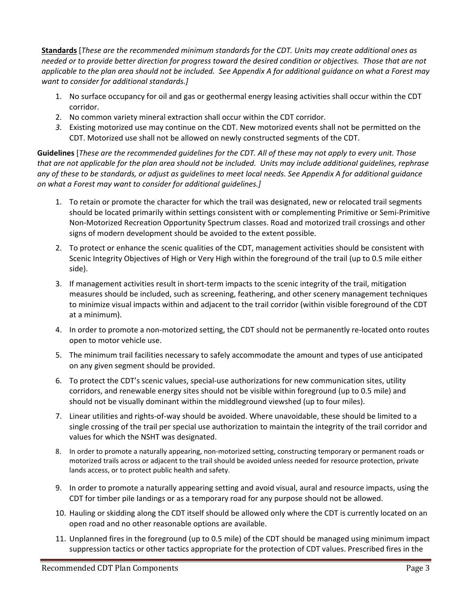**Standards** [*These are the recommended minimum standards for the CDT. Units may create additional ones as* needed or to provide better direction for progress toward the desired condition or objectives. Those that are not applicable to the plan area should not be included. See Appendix A for additional guidance on what a Forest may *want to consider for additional standards.]*

- 1. No surface occupancy for oil and gas or geothermal energy leasing activities shall occur within the CDT corridor.
- 2. No common variety mineral extraction shall occur within the CDT corridor.
- *3.* Existing motorized use may continue on the CDT. New motorized events shall not be permitted on the CDT. Motorized use shall not be allowed on newly constructed segments of the CDT.

Guidelines [These are the recommended guidelines for the CDT. All of these may not apply to every unit. Those that are not applicable for the plan area should not be included. Units may include additional guidelines, rephrase any of these to be standards, or adjust as guidelines to meet local needs. See Appendix A for additional guidance *on what a Forest may want to consider for additional guidelines.]*

- 1. To retain or promote the character for which the trail was designated, new or relocated trail segments should be located primarily within settings consistent with or complementing Primitive or Semi‐Primitive Non‐Motorized Recreation Opportunity Spectrum classes. Road and motorized trail crossings and other signs of modern development should be avoided to the extent possible.
- 2. To protect or enhance the scenic qualities of the CDT, management activities should be consistent with Scenic Integrity Objectives of High or Very High within the foreground of the trail (up to 0.5 mile either side).
- 3. If management activities result in short‐term impacts to the scenic integrity of the trail, mitigation measures should be included, such as screening, feathering, and other scenery management techniques to minimize visual impacts within and adjacent to the trail corridor (within visible foreground of the CDT at a minimum).
- 4. In order to promote a non-motorized setting, the CDT should not be permanently re-located onto routes open to motor vehicle use.
- 5. The minimum trail facilities necessary to safely accommodate the amount and types of use anticipated on any given segment should be provided.
- 6. To protect the CDT's scenic values, special-use authorizations for new communication sites, utility corridors, and renewable energy sites should not be visible within foreground (up to 0.5 mile) and should not be visually dominant within the middleground viewshed (up to four miles).
- 7. Linear utilities and rights-of-way should be avoided. Where unavoidable, these should be limited to a single crossing of the trail per special use authorization to maintain the integrity of the trail corridor and values for which the NSHT was designated.
- 8. In order to promote a naturally appearing, non-motorized setting, constructing temporary or permanent roads or motorized trails across or adjacent to the trail should be avoided unless needed for resource protection, private lands access, or to protect public health and safety.
- 9. In order to promote a naturally appearing setting and avoid visual, aural and resource impacts, using the CDT for timber pile landings or as a temporary road for any purpose should not be allowed.
- 10. Hauling or skidding along the CDT itself should be allowed only where the CDT is currently located on an open road and no other reasonable options are available.
- 11. Unplanned fires in the foreground (up to 0.5 mile) of the CDT should be managed using minimum impact suppression tactics or other tactics appropriate for the protection of CDT values. Prescribed fires in the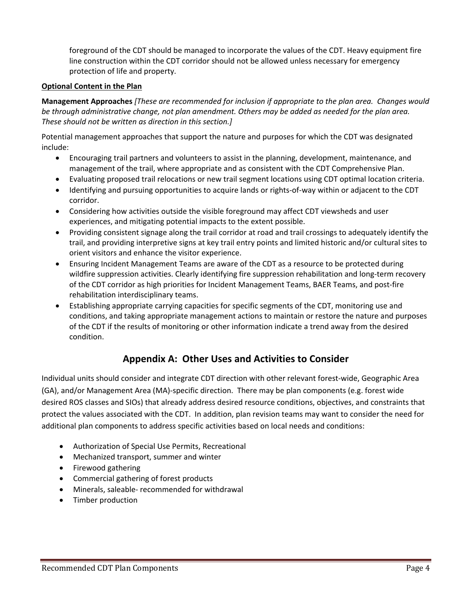foreground of the CDT should be managed to incorporate the values of the CDT. Heavy equipment fire line construction within the CDT corridor should not be allowed unless necessary for emergency protection of life and property.

#### **Optional Content in the Plan**

**Management Approaches** *[These are recommended for inclusion if appropriate to the plan area. Changes would be through administrative change, not plan amendment. Others may be added as needed for the plan area. These should not be written as direction in this section.]*

Potential management approaches that support the nature and purposes for which the CDT was designated include:

- Encouraging trail partners and volunteers to assist in the planning, development, maintenance, and management of the trail, where appropriate and as consistent with the CDT Comprehensive Plan.
- Evaluating proposed trail relocations or new trail segment locations using CDT optimal location criteria.
- Identifying and pursuing opportunities to acquire lands or rights-of-way within or adjacent to the CDT corridor.
- Considering how activities outside the visible foreground may affect CDT viewsheds and user experiences, and mitigating potential impacts to the extent possible.
- Providing consistent signage along the trail corridor at road and trail crossings to adequately identify the trail, and providing interpretive signs at key trail entry points and limited historic and/or cultural sites to orient visitors and enhance the visitor experience.
- Ensuring Incident Management Teams are aware of the CDT as a resource to be protected during wildfire suppression activities. Clearly identifying fire suppression rehabilitation and long‐term recovery of the CDT corridor as high priorities for Incident Management Teams, BAER Teams, and post‐fire rehabilitation interdisciplinary teams.
- Establishing appropriate carrying capacities for specific segments of the CDT, monitoring use and conditions, and taking appropriate management actions to maintain or restore the nature and purposes of the CDT if the results of monitoring or other information indicate a trend away from the desired condition.

## **Appendix A: Other Uses and Activities to Consider**

Individual units should consider and integrate CDT direction with other relevant forest‐wide, Geographic Area (GA), and/or Management Area (MA)‐specific direction. There may be plan components (e.g. forest wide desired ROS classes and SIOs) that already address desired resource conditions, objectives, and constraints that protect the values associated with the CDT. In addition, plan revision teams may want to consider the need for additional plan components to address specific activities based on local needs and conditions:

- Authorization of Special Use Permits, Recreational
- Mechanized transport, summer and winter
- Firewood gathering
- Commercial gathering of forest products
- Minerals, saleable- recommended for withdrawal
- Timber production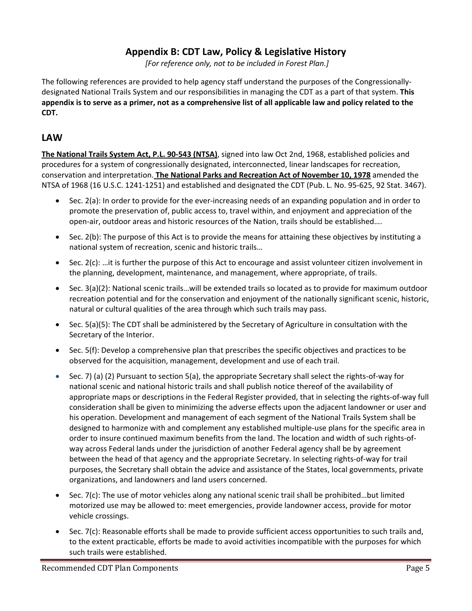## **Appendix B: CDT Law, Policy & Legislative History**

*[For reference only, not to be included in Forest Plan.]*

The following references are provided to help agency staff understand the purposes of the Congressionally‐ designated National Trails System and our responsibilities in managing the CDT as a part of that system. **This** appendix is to serve as a primer, not as a comprehensive list of all applicable law and policy related to the **CDT.**

### **LAW**

**The National Trails System Act, P.L. 90‐543 (NTSA)**, signed into law Oct 2nd, 1968, established policies and procedures for a system of congressionally designated, interconnected, linear landscapes for recreation, conservation and interpretation. **The National Parks and Recreation Act of November 10, 1978** amended the NTSA of 1968 (16 U.S.C. 1241‐1251) and established and designated the CDT (Pub. L. No. 95‐625, 92 Stat. 3467).

- Sec. 2(a): In order to provide for the ever-increasing needs of an expanding population and in order to promote the preservation of, public access to, travel within, and enjoyment and appreciation of the open-air, outdoor areas and historic resources of the Nation, trails should be established....
- Sec. 2(b): The purpose of this Act is to provide the means for attaining these objectives by instituting a national system of recreation, scenic and historic trails…
- $\bullet$  Sec. 2(c): ...it is further the purpose of this Act to encourage and assist volunteer citizen involvement in the planning, development, maintenance, and management, where appropriate, of trails.
- Sec. 3(a)(2): National scenic trails…will be extended trails so located as to provide for maximum outdoor recreation potential and for the conservation and enjoyment of the nationally significant scenic, historic, natural or cultural qualities of the area through which such trails may pass.
- Sec. 5(a)(5): The CDT shall be administered by the Secretary of Agriculture in consultation with the Secretary of the Interior.
- Sec. 5(f): Develop a comprehensive plan that prescribes the specific objectives and practices to be observed for the acquisition, management, development and use of each trail.
- Sec. 7) (a) (2) Pursuant to section 5(a), the appropriate Secretary shall select the rights‐of‐way for national scenic and national historic trails and shall publish notice thereof of the availability of appropriate maps or descriptions in the Federal Register provided, that in selecting the rights‐of‐way full consideration shall be given to minimizing the adverse effects upon the adjacent landowner or user and his operation. Development and management of each segment of the National Trails System shall be designed to harmonize with and complement any established multiple‐use plans for the specific area in order to insure continued maximum benefits from the land. The location and width of such rights‐of‐ way across Federal lands under the jurisdiction of another Federal agency shall be by agreement between the head of that agency and the appropriate Secretary. In selecting rights‐of‐way for trail purposes, the Secretary shall obtain the advice and assistance of the States, local governments, private organizations, and landowners and land users concerned.
- Sec. 7(c): The use of motor vehicles along any national scenic trail shall be prohibited…but limited motorized use may be allowed to: meet emergencies, provide landowner access, provide for motor vehicle crossings.
- Sec. 7(c): Reasonable efforts shall be made to provide sufficient access opportunities to such trails and, to the extent practicable, efforts be made to avoid activities incompatible with the purposes for which such trails were established.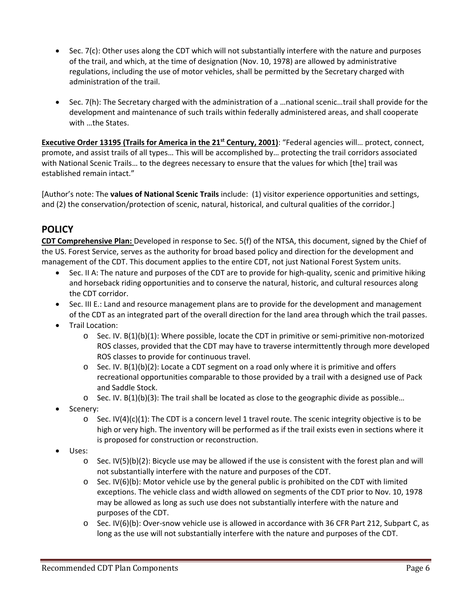- Sec. 7(c): Other uses along the CDT which will not substantially interfere with the nature and purposes of the trail, and which, at the time of designation (Nov. 10, 1978) are allowed by administrative regulations, including the use of motor vehicles, shall be permitted by the Secretary charged with administration of the trail.
- Sec. 7(h): The Secretary charged with the administration of a …national scenic…trail shall provide for the development and maintenance of such trails within federally administered areas, and shall cooperate with …the States.

**Executive Order 13195 (Trails for America in the 21st Century, 2001)**: "Federal agencies will… protect, connect, promote, and assist trails of all types… This will be accomplished by… protecting the trail corridors associated with National Scenic Trails… to the degrees necessary to ensure that the values for which [the] trail was established remain intact."

[Author's note: The **values of National Scenic Trails** include: (1) visitor experience opportunities and settings, and (2) the conservation/protection of scenic, natural, historical, and cultural qualities of the corridor.]

# **POLICY**

**CDT Comprehensive Plan:** Developed in response to Sec. 5(f) of the NTSA, this document, signed by the Chief of the US. Forest Service, serves as the authority for broad based policy and direction for the development and management of the CDT. This document applies to the entire CDT, not just National Forest System units.

- Sec. II A: The nature and purposes of the CDT are to provide for high‐quality, scenic and primitive hiking and horseback riding opportunities and to conserve the natural, historic, and cultural resources along the CDT corridor.
- Sec. III E.: Land and resource management plans are to provide for the development and management of the CDT as an integrated part of the overall direction for the land area through which the trail passes.
- **•** Trail Location:
	- o Sec. IV. B(1)(b)(1): Where possible, locate the CDT in primitive or semi‐primitive non‐motorized ROS classes, provided that the CDT may have to traverse intermittently through more developed ROS classes to provide for continuous travel.
	- $\circ$  Sec. IV. B(1)(b)(2): Locate a CDT segment on a road only where it is primitive and offers recreational opportunities comparable to those provided by a trail with a designed use of Pack and Saddle Stock.
	- $\circ$  Sec. IV. B(1)(b)(3): The trail shall be located as close to the geographic divide as possible...
- Scenery:
	- $\circ$  Sec. IV(4)(c)(1): The CDT is a concern level 1 travel route. The scenic integrity objective is to be high or very high. The inventory will be performed as if the trail exists even in sections where it is proposed for construction or reconstruction.
- Uses:
	- $\circ$  Sec. IV(5)(b)(2): Bicycle use may be allowed if the use is consistent with the forest plan and will not substantially interfere with the nature and purposes of the CDT.
	- $\circ$  Sec. IV(6)(b): Motor vehicle use by the general public is prohibited on the CDT with limited exceptions. The vehicle class and width allowed on segments of the CDT prior to Nov. 10, 1978 may be allowed as long as such use does not substantially interfere with the nature and purposes of the CDT.
	- o Sec. IV(6)(b): Over‐snow vehicle use is allowed in accordance with 36 CFR Part 212, Subpart C, as long as the use will not substantially interfere with the nature and purposes of the CDT.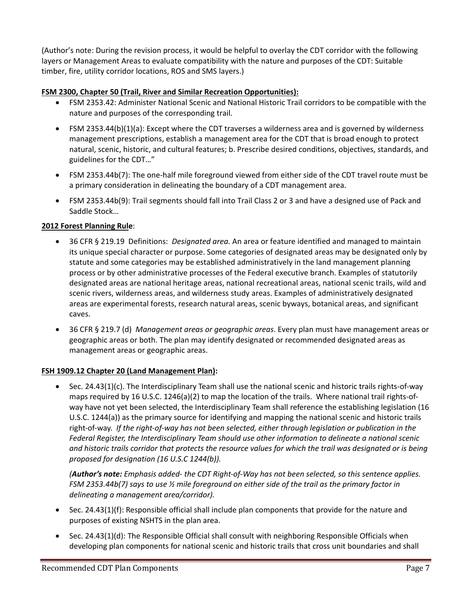(Author's note: During the revision process, it would be helpful to overlay the CDT corridor with the following layers or Management Areas to evaluate compatibility with the nature and purposes of the CDT: Suitable timber, fire, utility corridor locations, ROS and SMS layers.)

#### **FSM 2300, Chapter 50 (Trail, River and Similar Recreation Opportunities):**

- FSM 2353.42: Administer National Scenic and National Historic Trail corridors to be compatible with the nature and purposes of the corresponding trail.
- FSM 2353.44(b)(1)(a): Except where the CDT traverses a wilderness area and is governed by wilderness management prescriptions, establish a management area for the CDT that is broad enough to protect natural, scenic, historic, and cultural features; b. Prescribe desired conditions, objectives, standards, and guidelines for the CDT…"
- FSM 2353.44b(7): The one‐half mile foreground viewed from either side of the CDT travel route must be a primary consideration in delineating the boundary of a CDT management area.
- FSM 2353.44b(9): Trail segments should fall into Trail Class 2 or 3 and have a designed use of Pack and Saddle Stock…

#### **2012 Forest Planning Rule**:

- 36 CFR § 219.19 Definitions:*Designated area.* An area or feature identified and managed to maintain its unique special character or purpose. Some categories of designated areas may be designated only by statute and some categories may be established administratively in the land management planning process or by other administrative processes of the Federal executive branch. Examples of statutorily designated areas are national heritage areas, national recreational areas, national scenic trails, wild and scenic rivers, wilderness areas, and wilderness study areas. Examples of administratively designated areas are experimental forests, research natural areas, scenic byways, botanical areas, and significant caves.
- 36 CFR § 219.7 (d) *Management areas or geographic areas*. Every plan must have management areas or geographic areas or both. The plan may identify designated or recommended designated areas as management areas or geographic areas.

#### **FSH 1909.12 Chapter 20 (Land Management Plan):**

 Sec. 24.43(1)(c). The Interdisciplinary Team shall use the national scenic and historic trails rights‐of‐way maps required by 16 U.S.C. 1246(a)(2) to map the location of the trails. Where national trail rights-ofway have not yet been selected, the Interdisciplinary Team shall reference the establishing legislation (16 U.S.C. 1244(a)) as the primary source for identifying and mapping the national scenic and historic trails right-of-way. If the right-of-way has not been selected, either through legislation or publication in the *Federal Register, the Interdisciplinary Team should use other information to delineate a national scenic* and historic trails corridor that protects the resource values for which the trail was designated or is being *proposed for designation (16 U.S.C 1244(b)).* 

(Author's note: Emphasis added- the CDT Right-of-Way has not been selected, so this sentence applies. FSM 2353.44b(7) says to use  $\frac{1}{2}$  mile foreground on either side of the trail as the primary factor in *delineating a management area/corridor).* 

- Sec. 24.43(1)(f): Responsible official shall include plan components that provide for the nature and purposes of existing NSHTS in the plan area.
- Sec. 24.43(1)(d): The Responsible Official shall consult with neighboring Responsible Officials when developing plan components for national scenic and historic trails that cross unit boundaries and shall